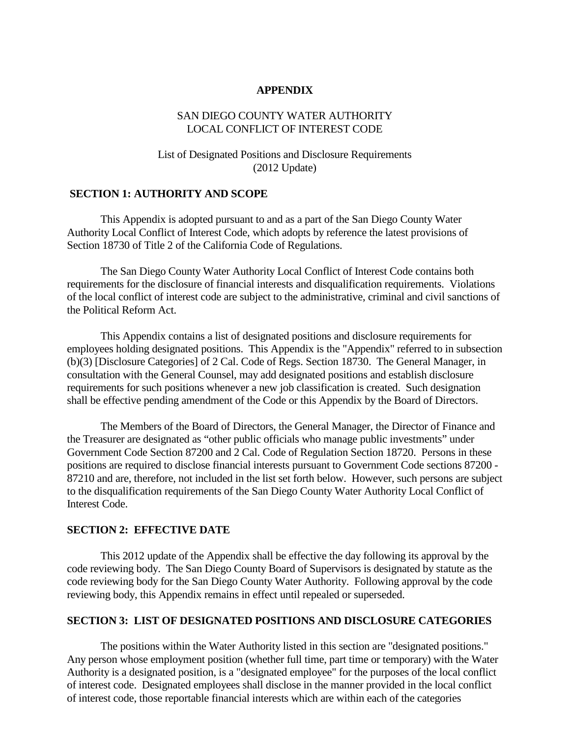#### **APPENDIX**

### SAN DIEGO COUNTY WATER AUTHORITY LOCAL CONFLICT OF INTEREST CODE

# List of Designated Positions and Disclosure Requirements (2012 Update)

### **SECTION 1: AUTHORITY AND SCOPE**

This Appendix is adopted pursuant to and as a part of the San Diego County Water Authority Local Conflict of Interest Code, which adopts by reference the latest provisions of Section 18730 of Title 2 of the California Code of Regulations.

The San Diego County Water Authority Local Conflict of Interest Code contains both requirements for the disclosure of financial interests and disqualification requirements. Violations of the local conflict of interest code are subject to the administrative, criminal and civil sanctions of the Political Reform Act.

This Appendix contains a list of designated positions and disclosure requirements for employees holding designated positions. This Appendix is the "Appendix" referred to in subsection (b)(3) [Disclosure Categories] of 2 Cal. Code of Regs. Section 18730. The General Manager, in consultation with the General Counsel, may add designated positions and establish disclosure requirements for such positions whenever a new job classification is created. Such designation shall be effective pending amendment of the Code or this Appendix by the Board of Directors.

The Members of the Board of Directors, the General Manager, the Director of Finance and the Treasurer are designated as "other public officials who manage public investments" under Government Code Section 87200 and 2 Cal. Code of Regulation Section 18720. Persons in these positions are required to disclose financial interests pursuant to Government Code sections 87200 - 87210 and are, therefore, not included in the list set forth below. However, such persons are subject to the disqualification requirements of the San Diego County Water Authority Local Conflict of Interest Code.

#### **SECTION 2: EFFECTIVE DATE**

This 2012 update of the Appendix shall be effective the day following its approval by the code reviewing body. The San Diego County Board of Supervisors is designated by statute as the code reviewing body for the San Diego County Water Authority. Following approval by the code reviewing body, this Appendix remains in effect until repealed or superseded.

### **SECTION 3: LIST OF DESIGNATED POSITIONS AND DISCLOSURE CATEGORIES**

The positions within the Water Authority listed in this section are "designated positions." Any person whose employment position (whether full time, part time or temporary) with the Water Authority is a designated position, is a "designated employee" for the purposes of the local conflict of interest code. Designated employees shall disclose in the manner provided in the local conflict of interest code, those reportable financial interests which are within each of the categories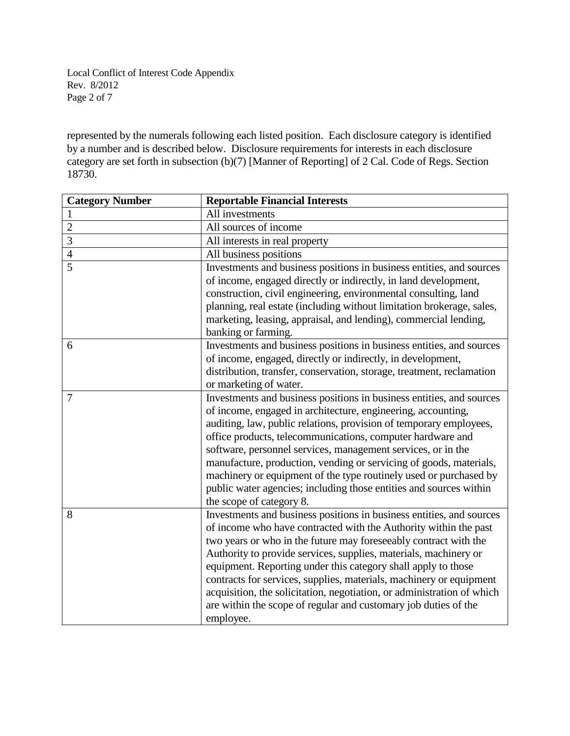Local Conflict of Interest Code Appendix Rev. 8/2012 Page 2 of 7

represented by the numerals following each listed position. Each disclosure category is identified by a number and is described below. Disclosure requirements for interests in each disclosure category are set forth in subsection (b)(7) [Manner of Reporting] of 2 Cal. Code of Regs. Section 18730.

| <b>Category Number</b> | <b>Reportable Financial Interests</b>                                  |
|------------------------|------------------------------------------------------------------------|
| $\mathbf{1}$           | All investments                                                        |
| $\overline{2}$         | All sources of income                                                  |
| $\overline{3}$         | All interests in real property                                         |
| $\overline{4}$         | All business positions                                                 |
| $\overline{5}$         | Investments and business positions in business entities, and sources   |
|                        | of income, engaged directly or indirectly, in land development,        |
|                        | construction, civil engineering, environmental consulting, land        |
|                        | planning, real estate (including without limitation brokerage, sales,  |
|                        | marketing, leasing, appraisal, and lending), commercial lending,       |
|                        | banking or farming.                                                    |
| 6                      | Investments and business positions in business entities, and sources   |
|                        | of income, engaged, directly or indirectly, in development,            |
|                        | distribution, transfer, conservation, storage, treatment, reclamation  |
|                        | or marketing of water.                                                 |
| $\overline{7}$         | Investments and business positions in business entities, and sources   |
|                        | of income, engaged in architecture, engineering, accounting,           |
|                        | auditing, law, public relations, provision of temporary employees,     |
|                        | office products, telecommunications, computer hardware and             |
|                        | software, personnel services, management services, or in the           |
|                        | manufacture, production, vending or servicing of goods, materials,     |
|                        | machinery or equipment of the type routinely used or purchased by      |
|                        | public water agencies; including those entities and sources within     |
|                        | the scope of category 8.                                               |
| 8                      | Investments and business positions in business entities, and sources   |
|                        | of income who have contracted with the Authority within the past       |
|                        | two years or who in the future may foreseeably contract with the       |
|                        | Authority to provide services, supplies, materials, machinery or       |
|                        | equipment. Reporting under this category shall apply to those          |
|                        | contracts for services, supplies, materials, machinery or equipment    |
|                        | acquisition, the solicitation, negotiation, or administration of which |
|                        | are within the scope of regular and customary job duties of the        |
|                        | employee.                                                              |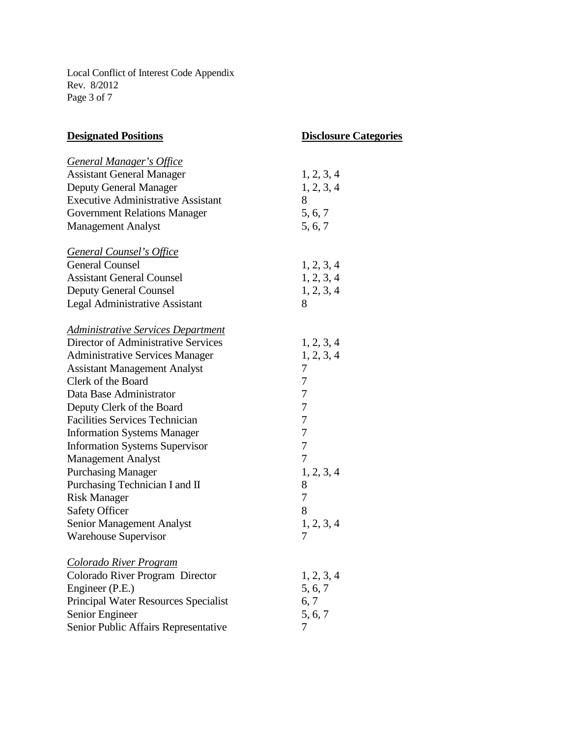Local Conflict of Interest Code Appendix Rev. 8/2012 Page 3 of 7

| <b>Designated Positions</b>                                                | <b>Disclosure Categories</b> |  |
|----------------------------------------------------------------------------|------------------------------|--|
|                                                                            |                              |  |
| <b>General Manager's Office</b><br><b>Assistant General Manager</b>        | 1, 2, 3, 4                   |  |
|                                                                            | 1, 2, 3, 4                   |  |
| <b>Deputy General Manager</b><br><b>Executive Administrative Assistant</b> | 8                            |  |
|                                                                            | 5, 6, 7                      |  |
| <b>Government Relations Manager</b><br><b>Management Analyst</b>           | 5, 6, 7                      |  |
|                                                                            |                              |  |
| <b>General Counsel's Office</b>                                            |                              |  |
| <b>General Counsel</b>                                                     | 1, 2, 3, 4                   |  |
| <b>Assistant General Counsel</b>                                           | 1, 2, 3, 4                   |  |
| <b>Deputy General Counsel</b>                                              | 1, 2, 3, 4                   |  |
| <b>Legal Administrative Assistant</b>                                      | 8                            |  |
|                                                                            |                              |  |
| <b>Administrative Services Department</b>                                  |                              |  |
| Director of Administrative Services                                        | 1, 2, 3, 4                   |  |
| <b>Administrative Services Manager</b>                                     | 1, 2, 3, 4                   |  |
| <b>Assistant Management Analyst</b>                                        | 7                            |  |
| Clerk of the Board                                                         | 7                            |  |
| Data Base Administrator                                                    | 7                            |  |
| Deputy Clerk of the Board                                                  | 7                            |  |
| <b>Facilities Services Technician</b>                                      | 7                            |  |
| <b>Information Systems Manager</b>                                         | 7                            |  |
| <b>Information Systems Supervisor</b>                                      | $\overline{7}$               |  |
| <b>Management Analyst</b>                                                  | $\overline{7}$               |  |
| <b>Purchasing Manager</b>                                                  | 1, 2, 3, 4                   |  |
| Purchasing Technician I and II                                             | 8                            |  |
| <b>Risk Manager</b>                                                        | 7                            |  |
| <b>Safety Officer</b>                                                      | 8                            |  |
| <b>Senior Management Analyst</b>                                           | 1, 2, 3, 4                   |  |
| <b>Warehouse Supervisor</b>                                                | 7                            |  |
|                                                                            |                              |  |
| <b>Colorado River Program</b>                                              |                              |  |
| Colorado River Program Director                                            | 1, 2, 3, 4                   |  |
| Engineer (P.E.)                                                            | 5, 6, 7<br>6, 7              |  |
| Principal Water Resources Specialist                                       | 5, 6, 7                      |  |
| Senior Engineer                                                            | 7                            |  |
| Senior Public Affairs Representative                                       |                              |  |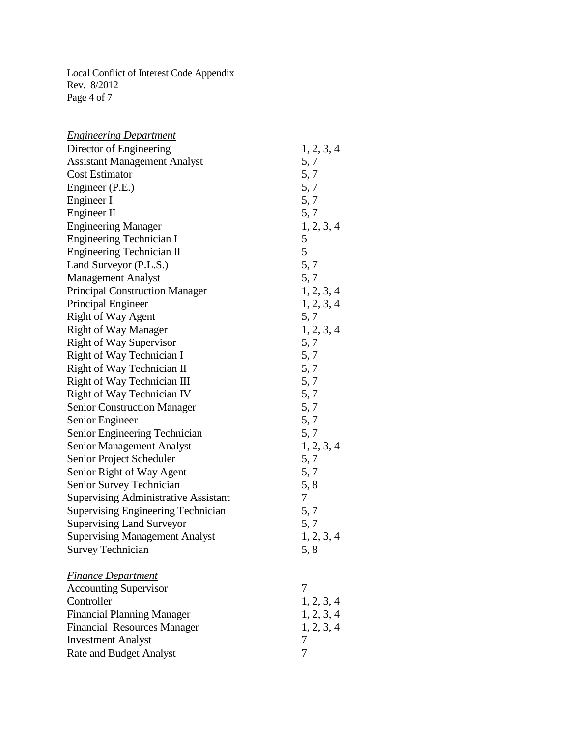Local Conflict of Interest Code Appendix Rev. 8/2012 Page 4 of 7

| <b>Engineering Department</b>               |            |
|---------------------------------------------|------------|
| Director of Engineering                     | 1, 2, 3, 4 |
| <b>Assistant Management Analyst</b>         | 5, 7       |
| <b>Cost Estimator</b>                       | 5, 7       |
| Engineer (P.E.)                             | 5, 7       |
| Engineer I                                  | 5, 7       |
| Engineer II                                 | 5, 7       |
| <b>Engineering Manager</b>                  | 1, 2, 3, 4 |
| <b>Engineering Technician I</b>             | 5          |
| Engineering Technician II                   | 5          |
| Land Surveyor (P.L.S.)                      | 5, 7       |
| <b>Management Analyst</b>                   | 5, 7       |
| <b>Principal Construction Manager</b>       | 1, 2, 3, 4 |
| Principal Engineer                          | 1, 2, 3, 4 |
| Right of Way Agent                          | 5, 7       |
| <b>Right of Way Manager</b>                 | 1, 2, 3, 4 |
| <b>Right of Way Supervisor</b>              | 5, 7       |
| Right of Way Technician I                   | 5, 7       |
| Right of Way Technician II                  | 5, 7       |
| Right of Way Technician III                 | 5,7        |
| Right of Way Technician IV                  | 5, 7       |
| <b>Senior Construction Manager</b>          | 5, 7       |
| Senior Engineer                             | 5, 7       |
| Senior Engineering Technician               | 5, 7       |
| Senior Management Analyst                   | 1, 2, 3, 4 |
| Senior Project Scheduler                    | 5, 7       |
| Senior Right of Way Agent                   | 5, 7       |
| <b>Senior Survey Technician</b>             | 5, 8       |
| <b>Supervising Administrative Assistant</b> | 7          |
| <b>Supervising Engineering Technician</b>   | 5,7        |
| <b>Supervising Land Surveyor</b>            | 5, 7       |
| <b>Supervising Management Analyst</b>       | 1, 2, 3, 4 |
| <b>Survey Technician</b>                    | 5,8        |
| <b>Finance Department</b>                   |            |
| <b>Accounting Supervisor</b>                | 7          |
| Controller                                  | 1, 2, 3, 4 |
| <b>Financial Planning Manager</b>           | 1, 2, 3, 4 |
| <b>Financial Resources Manager</b>          | 1, 2, 3, 4 |
| <b>Investment Analyst</b>                   | 7          |
| <b>Rate and Budget Analyst</b>              | 7          |
|                                             |            |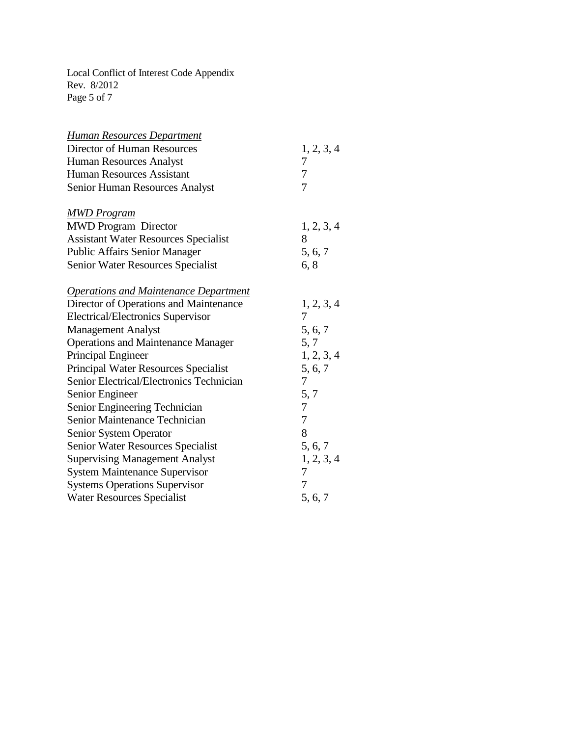Local Conflict of Interest Code Appendix Rev. 8/2012 Page 5 of 7

| Human Resources Department                      |            |
|-------------------------------------------------|------------|
| <b>Director of Human Resources</b>              | 1, 2, 3, 4 |
| <b>Human Resources Analyst</b>                  | 7          |
| <b>Human Resources Assistant</b>                | 7          |
| <b>Senior Human Resources Analyst</b>           | 7          |
|                                                 |            |
| <u>MWD Program</u>                              |            |
| <b>MWD Program Director</b>                     | 1, 2, 3, 4 |
| <b>Assistant Water Resources Specialist</b>     | 8          |
| <b>Public Affairs Senior Manager</b>            | 5, 6, 7    |
| <b>Senior Water Resources Specialist</b>        | 6, 8       |
|                                                 |            |
| <b>Operations and Maintenance Department</b>    |            |
| Director of Operations and Maintenance          | 1, 2, 3, 4 |
| <b>Electrical/Electronics Supervisor</b>        | 7          |
| <b>Management Analyst</b>                       | 5, 6, 7    |
| <b>Operations and Maintenance Manager</b>       | 5, 7       |
| Principal Engineer                              | 1, 2, 3, 4 |
| <b>Principal Water Resources Specialist</b>     | 5, 6, 7    |
| <b>Senior Electrical/Electronics Technician</b> | 7          |
| Senior Engineer                                 | 5, 7       |
| Senior Engineering Technician                   | 7          |
| <b>Senior Maintenance Technician</b>            | 7          |
| <b>Senior System Operator</b>                   | 8          |
| Senior Water Resources Specialist               | 5, 6, 7    |
| <b>Supervising Management Analyst</b>           | 1, 2, 3, 4 |
| <b>System Maintenance Supervisor</b>            | 7          |
| <b>Systems Operations Supervisor</b>            | 7          |
| <b>Water Resources Specialist</b>               | 5, 6, 7    |
|                                                 |            |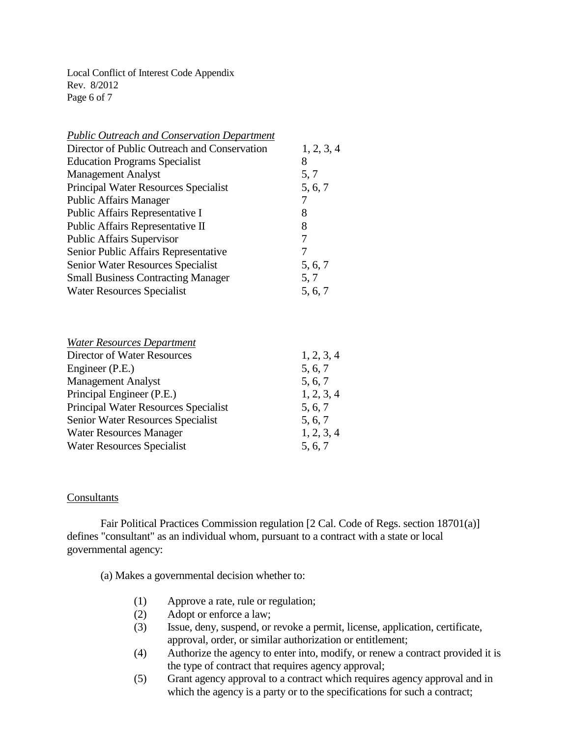Local Conflict of Interest Code Appendix Rev. 8/2012 Page 6 of 7

| <b>Public Outreach and Conservation Department</b> |            |
|----------------------------------------------------|------------|
| Director of Public Outreach and Conservation       | 1, 2, 3, 4 |
| <b>Education Programs Specialist</b>               | 8          |
| <b>Management Analyst</b>                          | 5, 7       |
| Principal Water Resources Specialist               | 5, 6, 7    |
| <b>Public Affairs Manager</b>                      |            |
| Public Affairs Representative I                    | 8          |
| Public Affairs Representative II                   | 8          |
| <b>Public Affairs Supervisor</b>                   | 7          |
| Senior Public Affairs Representative               |            |
| Senior Water Resources Specialist                  | 5, 6, 7    |
| <b>Small Business Contracting Manager</b>          | 5, 7       |
| <b>Water Resources Specialist</b>                  | 5, 6, 7    |
|                                                    |            |
|                                                    |            |

| 1, 2, 3, 4 |
|------------|
| 5, 6, 7    |
| 5, 6, 7    |
| 1, 2, 3, 4 |
| 5, 6, 7    |
| 5, 6, 7    |
| 1, 2, 3, 4 |
| 5, 6, 7    |
|            |

### **Consultants**

Fair Political Practices Commission regulation [2 Cal. Code of Regs. section 18701(a)] defines "consultant" as an individual whom, pursuant to a contract with a state or local governmental agency:

(a) Makes a governmental decision whether to:

- (1) Approve a rate, rule or regulation;
- (2) Adopt or enforce a law;
- (3) Issue, deny, suspend, or revoke a permit, license, application, certificate, approval, order, or similar authorization or entitlement;
- (4) Authorize the agency to enter into, modify, or renew a contract provided it is the type of contract that requires agency approval;
- (5) Grant agency approval to a contract which requires agency approval and in which the agency is a party or to the specifications for such a contract;